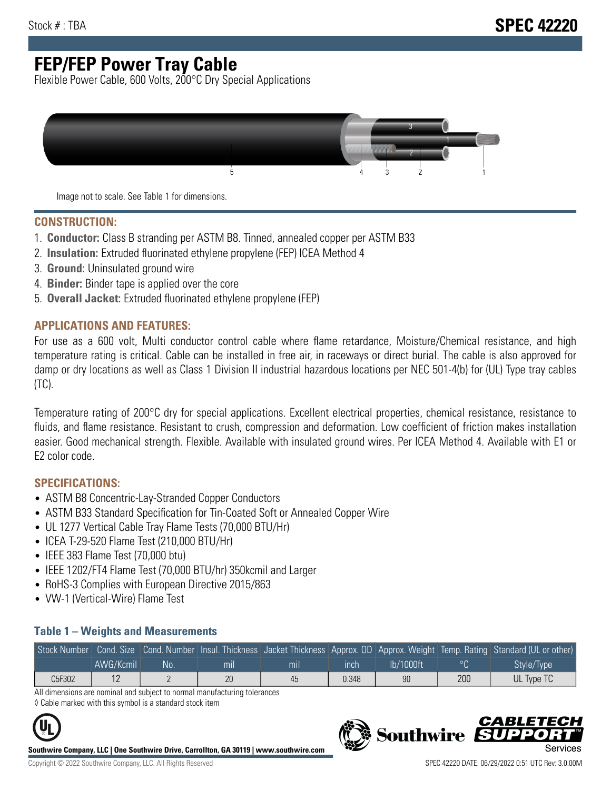# **FEP/FEP Power Tray Cable**

Flexible Power Cable, 600 Volts, 200°C Dry Special Applications



Image not to scale. See Table 1 for dimensions.

#### **CONSTRUCTION:**

- 1. **Conductor:** Class B stranding per ASTM B8. Tinned, annealed copper per ASTM B33
- 2. **Insulation:** Extruded fluorinated ethylene propylene (FEP) ICEA Method 4
- 3. **Ground:** Uninsulated ground wire
- 4. **Binder:** Binder tape is applied over the core
- 5. **Overall Jacket:** Extruded fluorinated ethylene propylene (FEP)

#### **APPLICATIONS AND FEATURES:**

For use as a 600 volt, Multi conductor control cable where flame retardance, Moisture/Chemical resistance, and high temperature rating is critical. Cable can be installed in free air, in raceways or direct burial. The cable is also approved for damp or dry locations as well as Class 1 Division II industrial hazardous locations per NEC 501-4(b) for (UL) Type tray cables (TC).

Temperature rating of 200°C dry for special applications. Excellent electrical properties, chemical resistance, resistance to fluids, and flame resistance. Resistant to crush, compression and deformation. Low coefficient of friction makes installation easier. Good mechanical strength. Flexible. Available with insulated ground wires. Per ICEA Method 4. Available with E1 or E2 color code.

### **SPECIFICATIONS:**

- ASTM B8 Concentric-Lay-Stranded Copper Conductors
- ASTM B33 Standard Specification for Tin-Coated Soft or Annealed Copper Wire
- UL 1277 Vertical Cable Tray Flame Tests (70,000 BTU/Hr)
- ICEA T-29-520 Flame Test (210,000 BTU/Hr)
- IEEE 383 Flame Test (70,000 btu)
- IEEE 1202/FT4 Flame Test (70,000 BTU/hr) 350kcmil and Larger
- RoHS-3 Complies with European Directive 2015/863
- VW-1 (Vertical-Wire) Flame Test

#### **Table 1 – Weights and Measurements**

| Stock Number |           |     |     |                |       |           |     | Cond. Size Cond. Number Insul. Thickness Jacket Thickness Approx. OD Approx. Weight Temp. Rating Standard (UL or other) |
|--------------|-----------|-----|-----|----------------|-------|-----------|-----|-------------------------------------------------------------------------------------------------------------------------|
|              | AWG/Kcmil | No. | mıl | m <sub>l</sub> | ınch  | lb/1000ft |     | Style/Type                                                                                                              |
| C5F302       |           |     | 20  | 45             | 0.348 | 90        | 200 | UL Type TC                                                                                                              |

All dimensions are nominal and subject to normal manufacturing tolerances ◊ Cable marked with this symbol is a standard stock item

**Southwire Company, LLC | One Southwire Drive, Carrollton, GA 30119 | www.southwire.com**